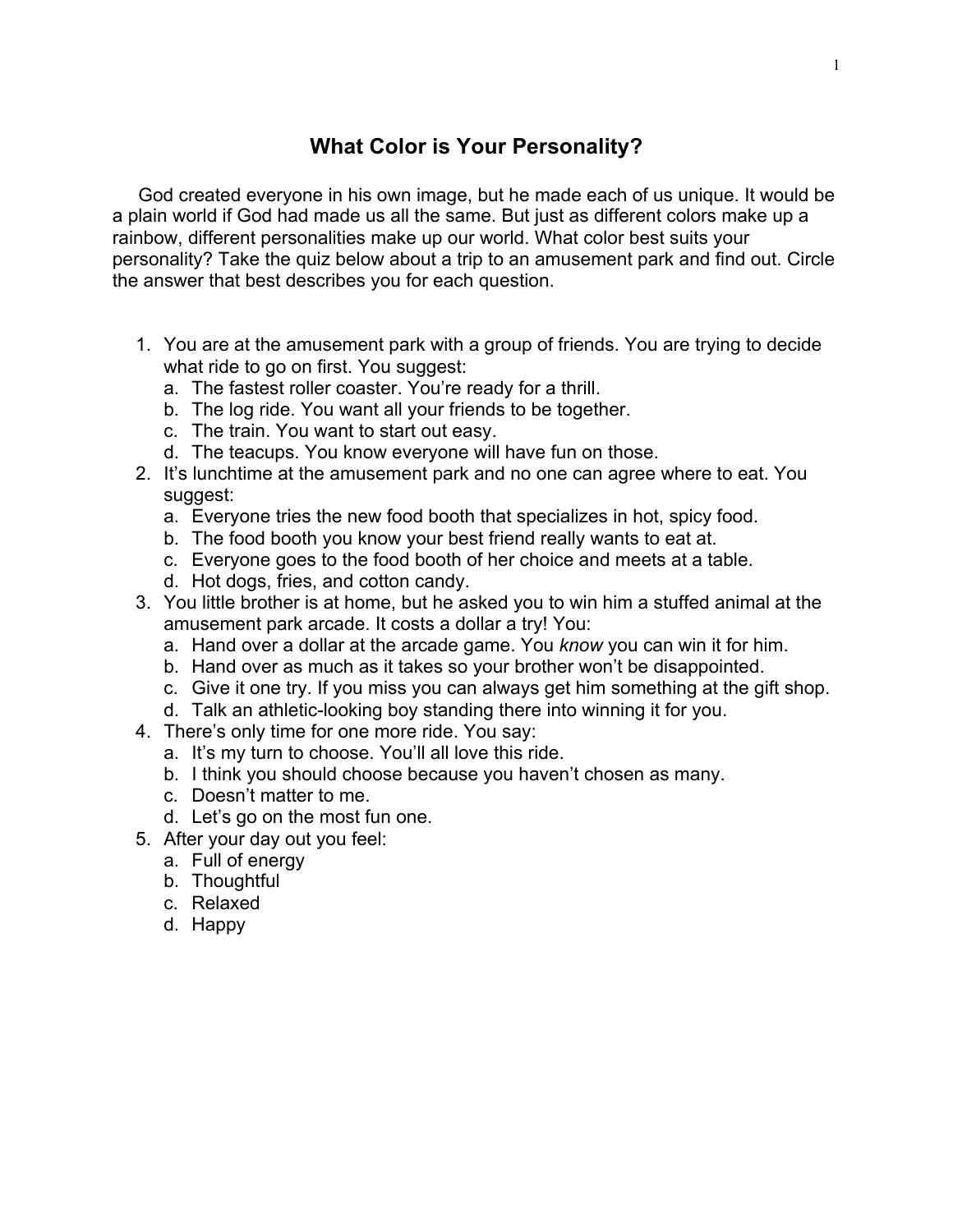## **What Color is Your Personality?**

 God created everyone in his own image, but he made each of us unique. It would be a plain world if God had made us all the same. But just as different colors make up a rainbow, different personalities make up our world. What color best suits your personality? Take the quiz below about a trip to an amusement park and find out. Circle the answer that best describes you for each question.

- 1. You are at the amusement park with a group of friends. You are trying to decide what ride to go on first. You suggest:
	- a. The fastest roller coaster. You're ready for a thrill.
	- b. The log ride. You want all your friends to be together.
	- c. The train. You want to start out easy.
	- d. The teacups. You know everyone will have fun on those.
- 2. It's lunchtime at the amusement park and no one can agree where to eat. You suggest:
	- a. Everyone tries the new food booth that specializes in hot, spicy food.
	- b. The food booth you know your best friend really wants to eat at.
	- c. Everyone goes to the food booth of her choice and meets at a table.
	- d. Hot dogs, fries, and cotton candy.
- 3. You little brother is at home, but he asked you to win him a stuffed animal at the amusement park arcade. It costs a dollar a try! You:
	- a. Hand over a dollar at the arcade game. You *know* you can win it for him.
	- b. Hand over as much as it takes so your brother won't be disappointed.
	- c. Give it one try. If you miss you can always get him something at the gift shop.
	- d. Talk an athletic-looking boy standing there into winning it for you.
- 4. There's only time for one more ride. You say:
	- a. It's my turn to choose. You'll all love this ride.
	- b. I think you should choose because you haven't chosen as many.
	- c. Doesn't matter to me.
	- d. Let's go on the most fun one.
- 5. After your day out you feel:
	- a. Full of energy
	- b. Thoughtful
	- c. Relaxed
	- d. Happy